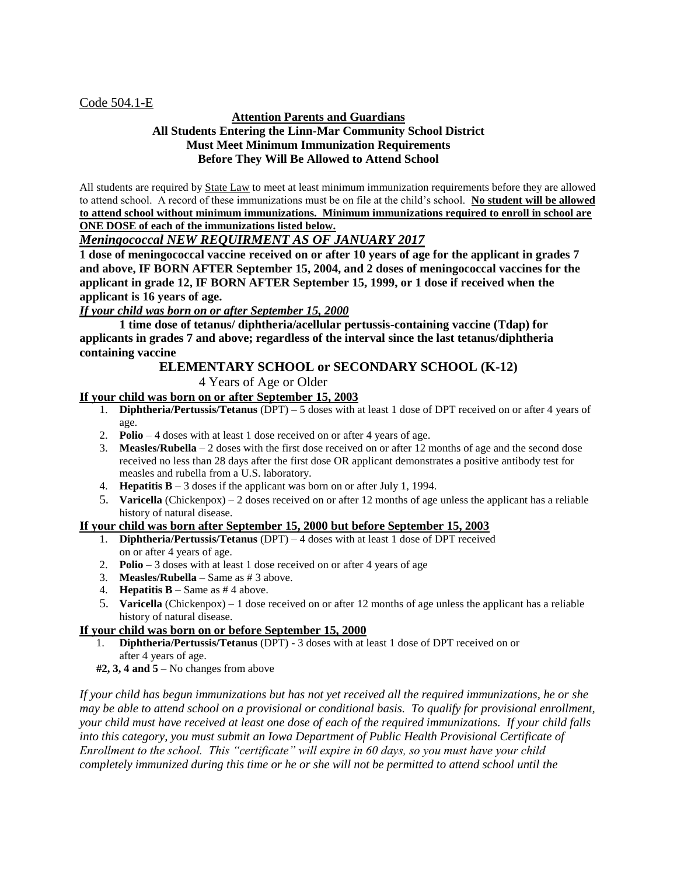### Code 504.1-E

### **Attention Parents and Guardians All Students Entering the Linn-Mar Community School District Must Meet Minimum Immunization Requirements Before They Will Be Allowed to Attend School**

All students are required by **State Law** to meet at least minimum immunization requirements before they are allowed to attend school. A record of these immunizations must be on file at the child's school. **No student will be allowed to attend school without minimum immunizations. Minimum immunizations required to enroll in school are ONE DOSE of each of the immunizations listed below.**

## *Meningococcal NEW REQUIRMENT AS OF JANUARY 2017*

**1 dose of meningococcal vaccine received on or after 10 years of age for the applicant in grades 7 and above, IF BORN AFTER September 15, 2004, and 2 doses of meningococcal vaccines for the applicant in grade 12, IF BORN AFTER September 15, 1999, or 1 dose if received when the applicant is 16 years of age.** 

*If your child was born on or after September 15, 2000*

**1 time dose of tetanus/ diphtheria/acellular pertussis-containing vaccine (Tdap) for applicants in grades 7 and above; regardless of the interval since the last tetanus/diphtheria containing vaccine**

# **ELEMENTARY SCHOOL or SECONDARY SCHOOL (K-12)**

4 Years of Age or Older

## **If your child was born on or after September 15, 2003**

- 1. **Diphtheria/Pertussis/Tetanus** (DPT) 5 doses with at least 1 dose of DPT received on or after 4 years of age.
- 2. **Polio** 4 doses with at least 1 dose received on or after 4 years of age.
- 3. **Measles/Rubella** 2 doses with the first dose received on or after 12 months of age and the second dose received no less than 28 days after the first dose OR applicant demonstrates a positive antibody test for measles and rubella from a U.S. laboratory.
- 4. **Hepatitis B** 3 doses if the applicant was born on or after July 1, 1994.
- 5. **Varicella** (Chickenpox) 2 doses received on or after 12 months of age unless the applicant has a reliable history of natural disease.

### **If your child was born after September 15, 2000 but before September 15, 2003**

- 1. **Diphtheria/Pertussis/Tetanus** (DPT) 4 doses with at least 1 dose of DPT received on or after 4 years of age.
- 2. **Polio** 3 doses with at least 1 dose received on or after 4 years of age
- 3. **Measles/Rubella** Same as # 3 above.
- 4. **Hepatitis B** Same as  $# 4$  above.
- 5. **Varicella** (Chickenpox) 1 dose received on or after 12 months of age unless the applicant has a reliable history of natural disease.

### **If your child was born on or before September 15, 2000**

- 1. **Diphtheria/Pertussis/Tetanus** (DPT) 3 doses with at least 1 dose of DPT received on or after 4 years of age.
- **#2, 3, 4 and 5** No changes from above

*If your child has begun immunizations but has not yet received all the required immunizations, he or she may be able to attend school on a provisional or conditional basis. To qualify for provisional enrollment, your child must have received at least one dose of each of the required immunizations. If your child falls into this category, you must submit an Iowa Department of Public Health Provisional Certificate of Enrollment to the school. This "certificate" will expire in 60 days, so you must have your child completely immunized during this time or he or she will not be permitted to attend school until the*